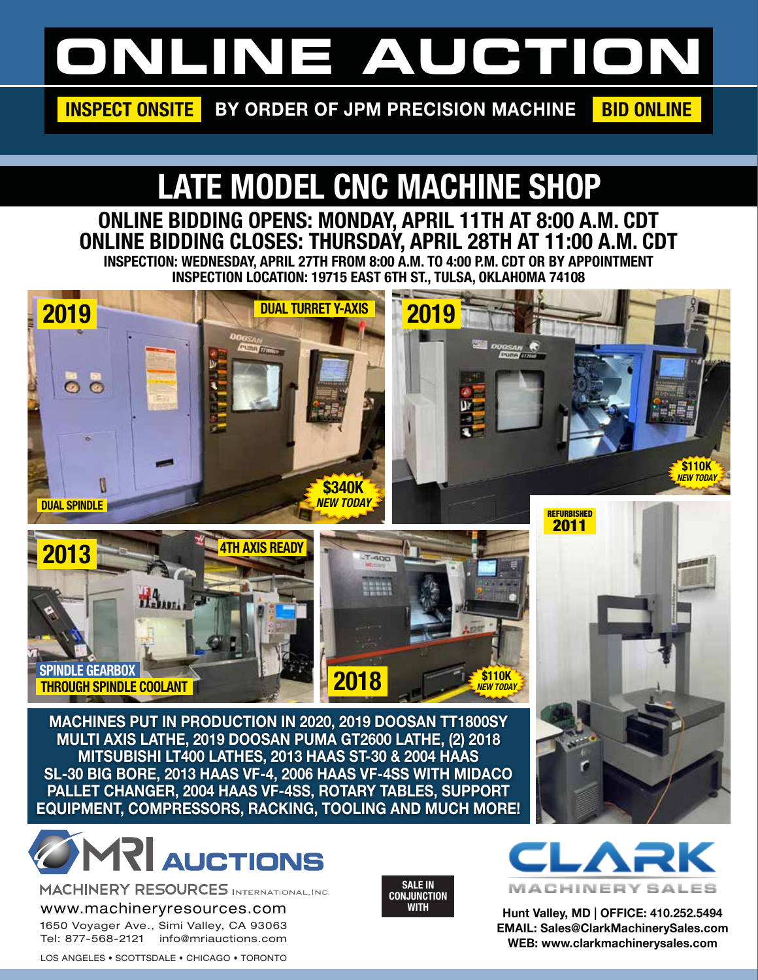# **ONLINE AUCTION**

INSPECT ONSITE BY ORDER OF JPM PRECISION MACHINE BID ONLINE

## LATE MODEL CNC MACHINE SHOP

ONLINE BIDDING OPENS: MONDAY, APRIL 11TH AT 8:00 A.M. CDT ONLINE BIDDING CLOSES: THURSDAY, APRIL 28TH AT 11:00 A.M. CDT INSPECTION: WEDNESDAY, APRIL 27TH FROM 8:00 A.M. TO 4:00 P.M. CDT OR BY APPOINTMENT INSPECTION LOCATION: 19715 EAST 6TH ST., TULSA, OKLAHOMA 74108







**MACHINES PUT IN PRODUCTION IN 2020, 2019 DOOSAN TT1800SY MULTI AXIS LATHE, 2019 DOOSAN PUMA GT2600 LATHE, (2) 2018 MITSUBISHI LT400 LATHES, 2013 HAAS ST-30 & 2004 HAAS SL-30 BIG BORE, 2013 HAAS VF-4, 2006 HAAS VF-4SS WITH MIDACO PALLET CHANGER, 2004 HAAS VF-4SS, ROTARY TABLES, SUPPORT EQUIPMENT, COMPRESSORS, RACKING, TOOLING AND MUCH MORE!**



MACHINERY RESOURCES INTERNATIONAL, INC. www.machineryresources.com

1650 Voyager Ave., Simi Valley, CA 93063 Tel: 877-568-2121 info@mriauctions.com

LOS ANGELES • SCOTTSDALE • CHICAGO • TORONTO





**Hunt Valley, MD | OFFICE: 410.252.5494 EMAIL: Sales@ClarkMachinerySales.com WEB: www.clarkmachinerysales.com**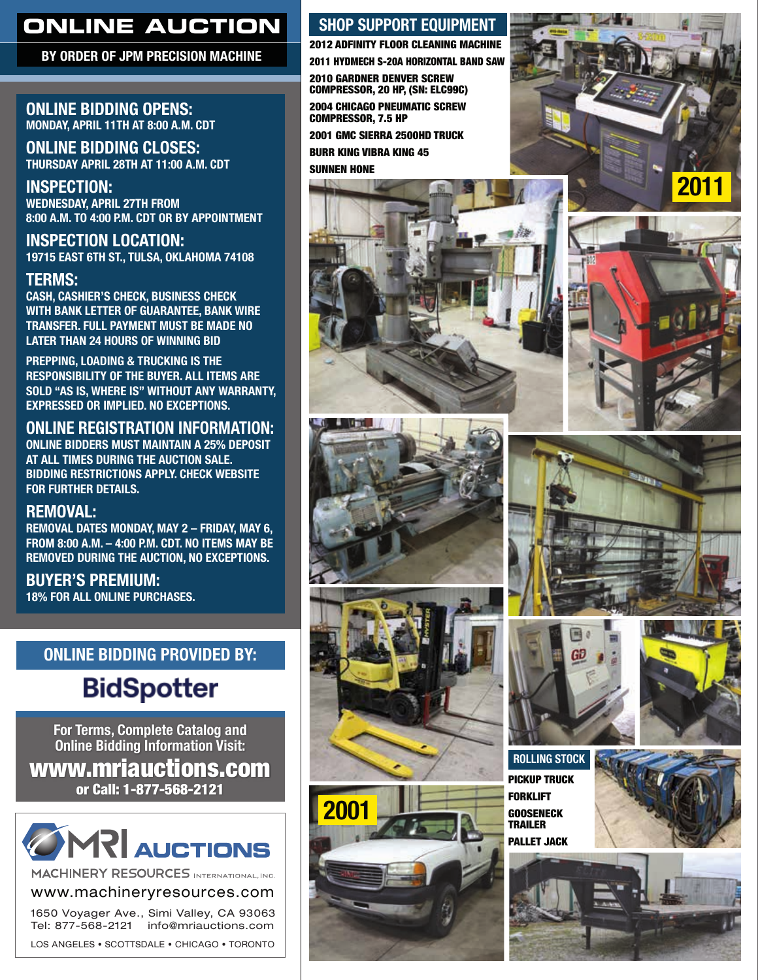## **ONLINE AUCTION**

BY ORDER OF JPM PRECISION MACHINE

#### ONLINE BIDDING OPENS: MONDAY, APRIL 11TH AT 8:00 A.M. CDT

ONLINE BIDDING CLOSES: THURSDAY APRIL 28TH AT 11:00 A.M. CDT

INSPECTION: WEDNESDAY, APRIL 27TH FROM 8:00 A.M. TO 4:00 P.M. CDT OR BY APPOINTMENT

### INSPECTION LOCATION:

19715 EAST 6TH ST., TULSA, OKLAHOMA 74108

#### TERMS:

CASH, CASHIER'S CHECK, BUSINESS CHECK WITH BANK LETTER OF GUARANTEE, BANK WIRE TRANSFER. FULL PAYMENT MUST BE MADE NO LATER THAN 24 HOURS OF WINNING BID

PREPPING, LOADING & TRUCKING IS THE RESPONSIBILITY OF THE BUYER. ALL ITEMS ARE SOLD "AS IS, WHERE IS" WITHOUT ANY WARRANTY, EXPRESSED OR IMPLIED. NO EXCEPTIONS.

#### ONLINE REGISTRATION INFORMATION:

ONLINE BIDDERS MUST MAINTAIN A 25% DEPOSIT AT ALL TIMES DURING THE AUCTION SALE. BIDDING RESTRICTIONS APPLY. CHECK WEBSITE FOR FURTHER DETAILS.

#### REMOVAL:

REMOVAL DATES MONDAY, MAY 2 – FRIDAY, MAY 6, FROM 8:00 A.M. – 4:00 P.M. CDT. NO ITEMS MAY BE REMOVED DURING THE AUCTION, NO EXCEPTIONS.

BUYER'S PREMIUM: 18% FOR ALL ONLINE PURCHASES.

#### ONLINE BIDDING PROVIDED BY:

## **BidSpotter**

**For Terms, Complete Catalog and Online Bidding Information Visit:** www.mriauctions.com or Call: 1-877-568-2121



MACHINERY RESOURCES INTERNATIONAL, INC.

www.machineryresources.com

1650 Voyager Ave., Simi Valley, CA 93063 Tel: 877-568-2121 info@mriauctions.com LOS ANGELES • SCOTTSDALE • CHICAGO • TORONTO

#### SHOP SUPPORT EQUIPMENT

2012 ADFINITY FLOOR CLEANING MACHINE 2011 HYDMECH S-20A HORIZONTAL BAND SAW 2010 GARDNER DENVER SCREW COMPRESSOR, 20 HP, (SN: ELC99C)

2004 CHICAGO PNEUMATIC SCREW COMPRESSOR, 7.5 HP

2001 GMC SIERRA 2500HD TRUCK

BURR KING VIBRA KING 45

SUNNEN HONE



















ROLLING STOCK PICKUP TRUCK FORKLIFT **GOOSENECK** TRAILER PALLET JACK



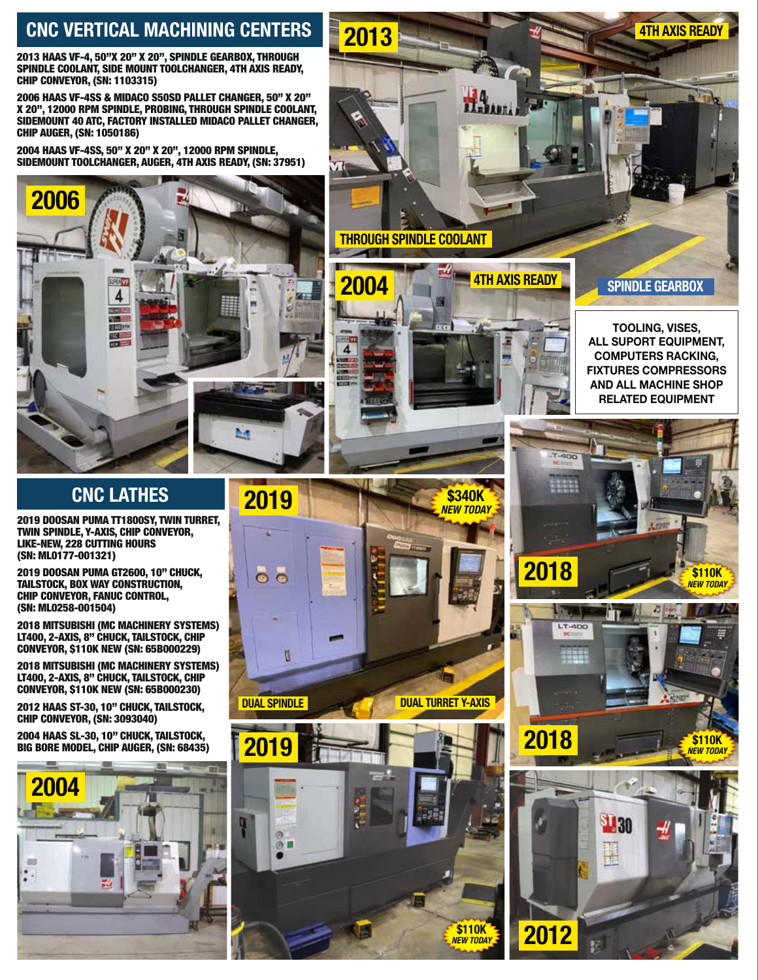### CNC VERTICAL MACHINING CENTERS

2013 HAAS VF-4, 50"X 20" X 20", SPINDLE GEARBOX, THROUGH SPINDLE COOLANT, SIDE MOUNT TOOLCHANGER, 4TH AXIS READY, CHIP CONVEYOR, (SN: 1103315)

2006 HAAS VF-4SS & MIDACO S50SD PALLET CHANGER, 50" X 20" X 20", 12000 RPM SPINDLE, PROBING, THROUGH SPINDLE COOLANT, SIDEMOUNT 40 ATC, FACTORY INSTALLED MIDACO PALLET CHANGER, CHIP AUGER, (SN: 1050186)

2004 HAAS VF-4SS, 50" X 20" X 20", 12000 RPM SPINDLE, SIDEMOUNT TOOLCHANGER, AUGER, 4TH AXIS READY, (SN: 37951)



#### CNC LATHES

2019 DOOSAN PUMA TT1800SY, TWIN TURRET, TWIN SPINDLE, Y-AXIS, CHIP CONVEYOR, LIKE-NEW, 228 CUTTING HOURS (SN: ML0177-001321)

2019 DOOSAN PUMA GT2600, 10" CHUCK, TAILSTOCK, BOX WAY CONSTRUCTION, CHIP CONVEYOR, FANUC CONTROL, (SN: ML0258-001504)

2018 MITSUBISHI (MC MACHINERY SYSTEMS) LT400, 2-AXIS, 8" CHUCK, TAILSTOCK, CHIP CONVEYOR, \$110K NEW (SN: 65B000229)

2018 MITSUBISHI (MC MACHINERY SYSTEMS) LT400, 2-AXIS, 8" CHUCK, TAILSTOCK, CHIP CONVEYOR, \$110K NEW (SN: 65B000230)

2012 HAAS ST-30, 10" CHUCK, TAILSTOCK, CHIP CONVEYOR, (SN: 3093040)

2004 HAAS SL-30, 10" CHUCK, TAILSTOCK, BIG BORE MODEL, CHIP AUGER, (SN: 68435)